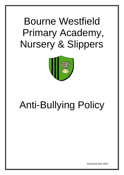## Bourne Westfield Primary Academy, Nursery & Slippers



# Anti-Bullying Policy

Reviewed April 2022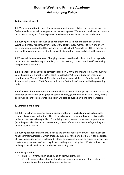### **Bourne Westfield Primary Academy Anti-Bullying Policy**

#### **1. Statement of Intent**

1.1 We are committed to providing an environment where children can thrive; where they feel safe and can learn in a happy and secure atmosphere. We want to do all we can to make our school a caring and friendly place in which everyone is shown respect and valued.

1.2 Bullying has no place in such an environment and will not be tolerated at Bourne Westfield Primary Academy. Every child, every parent, every member of staff and every governor should understand that we are a TELLING school. Any child can TELL a member of staff and know any incidence of bullying will be treated seriously and dealt with promptly.

1.3 There will be an awareness of bullying issues across the school and it will be regularly raised and discussed during assemblies, class discussions, school council, staff, leadership and governor's meetings.

1.4 Incidents of bullying will be centrally logged on CPOMS and monitored by Anti-Bullying Co-ordinators Mrs Humphreys (Assistant Headteacher/DSL), Mrs Goodwin (Assistant Headteacher), Mrs McCullough (Deputy Headteacher) and Mr Perrin (Deputy Headteacher). A nominated governor, Matt Fleming, will be the first point of contact with the governing body.

1.5 After consultation with parents and the children in school, this policy has been discussed, amended as necessary, and agreed by school council, governors and all staff. A copy of this policy will be sent to all parents. The policy will also be available via the school website.

#### **2. Definition of Bullying**

2.1 Bullying is hurting another person, either emotionally, verbally or physically, usually repeatedly over a period of time. There is nearly always a power imbalance between the bully and the person being bullied. For bullying that is deemed to be peer on peer abuse (including sexual violence and harassment), please refer to the school's Safeguarding and Child Protection Policy.

2.2 Bullying can take many forms. It can be the endless repetition of what individually are minor comments/incidents which gradually build up over a period of time. It can be serious physical aggression which is followed by stares or looks and whispered asides to others that create a very real sense of on-going distress in the person being hurt. Whatever form the bullying takes; all produce hurt and can cause lasting harm.

#### 2.3 Bullying can be:

- Physical hitting, pinching, shoving, tripping, kicking, etc.
- Verbal name calling, abusing, humiliating someone in front of others, whispered comments to others, spreading rumours, teasing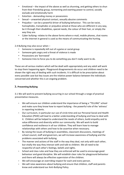- Emotional the impact of the above as well as shunning, and getting others to shun from their friendship group, tormenting and exerting power to control, socially exclude and emotionally harm
- Extortion demanding money or possessions
- Sexual unwanted physical contact, sexually abusive comments
- Prejudice can be a powerful driver of bullying behaviour. This can be racist, homophobic, transphobic or prejudice aimed at those who are different in any way, be it through their disabilities, special needs, the colour of their hair, or simply the way they are.
- Cyber bullying- relates to the above forms where e-mail, mobile phones, chat rooms or the internet in general is used as the means of communicating the hurting.

2.4 Bullying may also occur when –

- Someone is repeatedly left out of a game or social group
- Someone gets angry and a threat of violence is made
- Possessions are 'borrowed'
- Someone tries to force you to do something you don't really want to do.

These are all serious matters which will be dealt with appropriately and any adult will work to stop them happening again. Playground disagreements do occur and children need to be shown the right way of dealing with such incidents. It is difficult to be prescriptive about every possible case but key issues are the relative power balance between the individuals concerned and whether this is an ongoing problem.

#### **3. Preventing Bullying**

3.1 We will work to prevent bullying occurring in our school through a range of practical preventative measures.

- We will ensure our children understand the importance of being a "TELLING" school and make sure they know how to report bullying - the powerful role of the 'witness' in reporting incidents.
- Our curriculum, in particular our use of circle time and our Personal Social and Health Education (PSHE) will lead to a better understanding of bullying and how to deal with it. Children will be helped to understand the needs of others, build empathy and to value difference and diversity within our community. We will work to build confidence and resilience in all our children. They will learn how to manage relationships with others and how to be assertive when necessary.
- By raising the issues of bullying in assemblies, classroom discussions, meetings of school council, staff and governors, we will increase awareness of bullying and the problems associated with bullying.
- The manner and actions of the staff in the way they deal, not only with each other, but vitally the way they interact with and talk to children. We all need to be respectful of each other's feelings, beliefs and rights.
- School and class rules and how they are enforced will be used to encourage good behaviour and good discipline. We will establish clear rules for playground behaviour and there will always be effective supervision of the children.
- We will encourage an overriding respect for each and every person.
- We will raise awareness about bullying and ensure that children, staff and parents know and understand our Anti-Bullying Policy.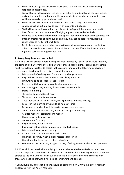- We will encourage the children to make good relationships based on friendship, respect and acceptance.
- We will teach children about the variety of cultures and beliefs and educate against racism, transphobia and homophobia. Any incidents of such behaviour which occur will be separately logged and dealt with.
- We will work with anyone who bullies to help them change their behaviour.
- Sanctions will be put in place to deal with incidents of bullying.
- Staff will be trained to care for our children, to safeguard them from harm and to identify and deal with incidents of bullying appropriately and effectively.
- We need to be aware that children with special educational needs and disabilities are often at greater risk of being bullied and they may not be able to articulate their experiences as well as other children.
- Particular care also needs to be given to those children who are not as resilient as others, or have factors outside of school that make life difficult, but have an equal right to a secure and happy school life.

#### **4. Recognising those who are bullied**

4.1 A child will not always report bullying but may indicate by signs or behaviours that they are being bullied. Everyone should be aware of these possible signs. Parents and teachers must work closely together to establish the reasons for any of the following behaviours if they represent a change to the child's normal demeanour.

- Is frightened of walking to or from school or changes route
- Begs to be driven to school rather than walking as normal
- Is unwilling to go to school (school refusal)
- Becomes withdrawn, anxious or lacking in confidence
- Becomes aggressive, abusive, disruptive or unreasonable
- Starts stammering
- Threatens or attempts self-harm
- Threatens or attempts to run away
- Cries themselves to sleep at night, has nightmares or is bed wetting
- Feels ill in the morning or wants to go home at lunch
- Performance in school work begins to drop or even regresses
- Comes home with clothes torn, property damaged or 'missing'
- Asks for money or starts stealing money
- Has unexplained cuts or bruises
- Comes home 'starving'
- Begins to bully other children
- Changes in eating habits not eating or comfort eating
- Is frightened to say what is wrong
- Is afraid to use the internet or mobile phone
- Is nervous or jumpy when a cyber message is received
- Gives improbable excuses for their behaviour.
- Writes or draws disturbing images as a way of telling someone about their problems

4.2 When children do tell about bullying it needs to be handled sensitively and with care. Discrete enquiries should be made to check the story the adult is hearing. Support should be offered to the child who has been bullied and the matter should only be discussed with those who need to know; this will include senior staff and parents.

A Behaviour/Bullying/Racist Incident should be completed on CPOMS in a timely manner and logged with the Admin Manager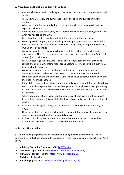#### **5. Procedures and Sanctions to deal with Bullying**

- Anyone who believes that bullying, to themselves or others, is taking place must tell an adult.
- We will listen carefully and sympathetically to the child or adult reporting the incident.
- Whether or not the incident is that of bullying, we will take steps to address the reported behaviour.
- If the incident is that of bullying, we will talk to the child who is bullying and discuss what has happened and why.
- Parents of the children involved will be informed of what has occurred.
- We will provide support, and counselling where appropriate, for the child who has been bullied and the child bullying. In some cases this may, with parental consent, involve outside agencies.
- We will explain to the child who is bullying that their actions are hurtful and unacceptable. This will be done in a restorative way, involving the victim (with their consent) and their views.
- We will encourage the child who is bullying to acknowledge the hurt they have caused and explain why their actions are unacceptable. The child who is bullying will be expected to apologise.
- We will explain that the bullying behaviour has to stop immediately and an immediate sanction in line with the severity of the incident will be enforced.
- From that point on the child who is bullying will be given opportunities to show that their behaviour has changed.
- If they fail to change their behaviour and the bullying is repeated, further disciplinary sanctions will take place. Sanctions will range from missing break times right through to permanent exclusion from the school depending upon the severity of the incident or incidents.
- Where appropriate Child Protection Procedures will be followed and help sought from outside agencies. This may take the form of counselling or other psychological services.
- Incidents of bullying will always be recorded and those records kept centrally on CPOMS.
- Once an incident has been reported and investigated, the case will be monitored to ensure that repeated bullying does not take place.
- Incidents of bullying are recorded in a bound book and a record of the victims maintained. Governors monitor this record three times a year.

#### **6. Advisory Organisations**

6. 1 The following organisations will provide help and guidance on matters related to bullying. Every effort has been made to ensure all websites are currently correct (as of April 2022):

- **Advisory Centre for Education (ACE**[\) ACE Website](http://www.ace-ed.org.uk/advice-about-education-for-parents/tackling-bullying)
- **Children's Legal Centre**:<https://www.childrenslegalcentre.com/>
- **KIDSCAPE Parents' Helpline:** <http://www.kidscape.org.uk/>
- **Bullying UK:**[Bullying Uk](https://www.bullying.co.uk/?_ga=2.173159907.1155972757.1633360384-28587009.1633360384)
- **Anti**-**bullying Alliance** :<https://anti-bullyingalliance.org.uk/>